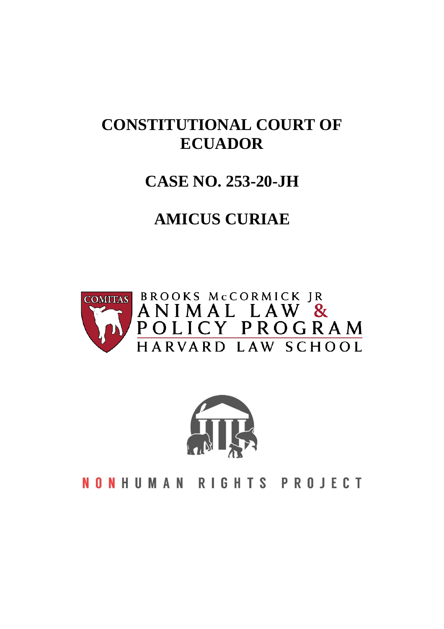# **CONSTITUTIONAL COURT OF ECUADOR**

## **CASE NO. 253-20-JH**

# **AMICUS CURIAE**





**NONHUMAN RIGHTS PROJECT**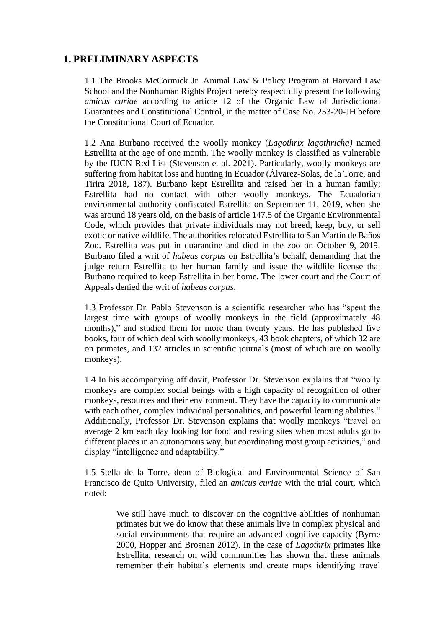## **1. PRELIMINARY ASPECTS**

1.1 The Brooks McCormick Jr. Animal Law & Policy Program at Harvard Law School and the Nonhuman Rights Project hereby respectfully present the following *amicus curiae* according to article 12 of the Organic Law of Jurisdictional Guarantees and Constitutional Control, in the matter of Case No. 253-20-JH before the Constitutional Court of Ecuador.

1.2 Ana Burbano received the woolly monkey (*Lagothrix lagothricha)* named Estrellita at the age of one month. The woolly monkey is classified as vulnerable by the IUCN Red List (Stevenson et al. 2021). Particularly, woolly monkeys are suffering from habitat loss and hunting in Ecuador (Álvarez-Solas, de la Torre, and Tirira 2018, 187). Burbano kept Estrellita and raised her in a human family; Estrellita had no contact with other woolly monkeys. The Ecuadorian environmental authority confiscated Estrellita on September 11, 2019, when she was around 18 years old, on the basis of article 147.5 of the Organic Environmental Code, which provides that private individuals may not breed, keep, buy, or sell exotic or native wildlife. The authorities relocated Estrellita to San Martín de Baños Zoo. Estrellita was put in quarantine and died in the zoo on October 9, 2019. Burbano filed a writ of *habeas corpus* on Estrellita's behalf, demanding that the judge return Estrellita to her human family and issue the wildlife license that Burbano required to keep Estrellita in her home. The lower court and the Court of Appeals denied the writ of *habeas corpus*.

1.3 Professor Dr. Pablo Stevenson is a scientific researcher who has "spent the largest time with groups of woolly monkeys in the field (approximately 48 months)," and studied them for more than twenty years. He has published five books, four of which deal with woolly monkeys, 43 book chapters, of which 32 are on primates, and 132 articles in scientific journals (most of which are on woolly monkeys).

1.4 In his accompanying affidavit, Professor Dr. Stevenson explains that "woolly monkeys are complex social beings with a high capacity of recognition of other monkeys, resources and their environment. They have the capacity to communicate with each other, complex individual personalities, and powerful learning abilities." Additionally, Professor Dr. Stevenson explains that woolly monkeys "travel on average 2 km each day looking for food and resting sites when most adults go to different places in an autonomous way, but coordinating most group activities," and display "intelligence and adaptability."

1.5 Stella de la Torre, dean of Biological and Environmental Science of San Francisco de Quito University, filed an *amicus curiae* with the trial court, which noted:

> We still have much to discover on the cognitive abilities of nonhuman primates but we do know that these animals live in complex physical and social environments that require an advanced cognitive capacity (Byrne 2000, Hopper and Brosnan 2012). In the case of *Lagothrix* primates like Estrellita, research on wild communities has shown that these animals remember their habitat's elements and create maps identifying travel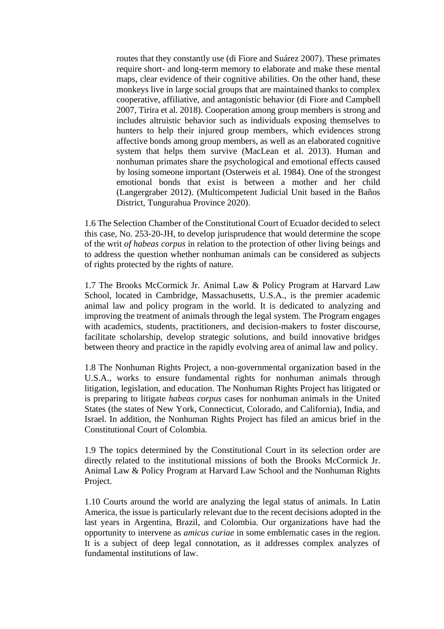routes that they constantly use (di Fiore and Suárez 2007). These primates require short- and long-term memory to elaborate and make these mental maps, clear evidence of their cognitive abilities. On the other hand, these monkeys live in large social groups that are maintained thanks to complex cooperative, affiliative, and antagonistic behavior (di Fiore and Campbell 2007, Tirira et al. 2018). Cooperation among group members is strong and includes altruistic behavior such as individuals exposing themselves to hunters to help their injured group members, which evidences strong affective bonds among group members, as well as an elaborated cognitive system that helps them survive (MacLean et al. 2013). Human and nonhuman primates share the psychological and emotional effects caused by losing someone important (Osterweis et al. 1984). One of the strongest emotional bonds that exist is between a mother and her child (Langergraber 2012). (Multicompetent Judicial Unit based in the Baños District, Tungurahua Province 2020).

1.6 The Selection Chamber of the Constitutional Court of Ecuador decided to select this case, No. 253-20-JH, to develop jurisprudence that would determine the scope of the writ *of habeas corpus* in relation to the protection of other living beings and to address the question whether nonhuman animals can be considered as subjects of rights protected by the rights of nature.

1.7 The Brooks McCormick Jr. Animal Law & Policy Program at Harvard Law School, located in Cambridge, Massachusetts, U.S.A., is the premier academic animal law and policy program in the world. It is dedicated to analyzing and improving the treatment of animals through the legal system. The Program engages with academics, students, practitioners, and decision-makers to foster discourse, facilitate scholarship, develop strategic solutions, and build innovative bridges between theory and practice in the rapidly evolving area of animal law and policy.

1.8 The Nonhuman Rights Project, a non-governmental organization based in the U.S.A., works to ensure fundamental rights for nonhuman animals through litigation, legislation, and education. The Nonhuman Rights Project has litigated or is preparing to litigate *habeas corpus* cases for nonhuman animals in the United States (the states of New York, Connecticut, Colorado, and California), India, and Israel. In addition, the Nonhuman Rights Project has filed an amicus brief in the Constitutional Court of Colombia.

1.9 The topics determined by the Constitutional Court in its selection order are directly related to the institutional missions of both the Brooks McCormick Jr. Animal Law & Policy Program at Harvard Law School and the Nonhuman Rights Project.

1.10 Courts around the world are analyzing the legal status of animals. In Latin America, the issue is particularly relevant due to the recent decisions adopted in the last years in Argentina, Brazil, and Colombia. Our organizations have had the opportunity to intervene as *amicus curiae* in some emblematic cases in the region. It is a subject of deep legal connotation, as it addresses complex analyzes of fundamental institutions of law.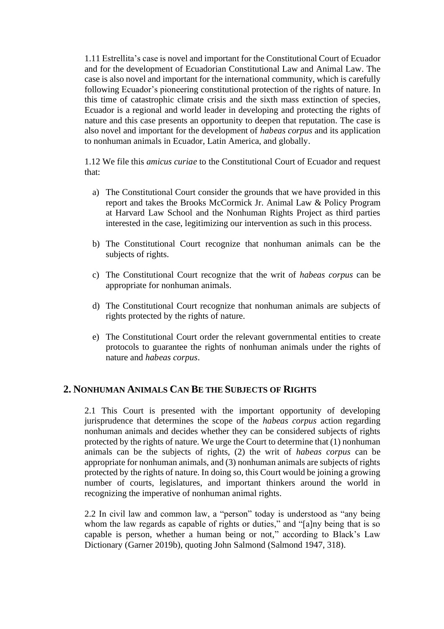1.11 Estrellita's case is novel and important for the Constitutional Court of Ecuador and for the development of Ecuadorian Constitutional Law and Animal Law. The case is also novel and important for the international community, which is carefully following Ecuador's pioneering constitutional protection of the rights of nature. In this time of catastrophic climate crisis and the sixth mass extinction of species, Ecuador is a regional and world leader in developing and protecting the rights of nature and this case presents an opportunity to deepen that reputation. The case is also novel and important for the development of *habeas corpus* and its application to nonhuman animals in Ecuador, Latin America, and globally.

1.12 We file this *amicus curiae* to the Constitutional Court of Ecuador and request that:

- a) The Constitutional Court consider the grounds that we have provided in this report and takes the Brooks McCormick Jr. Animal Law & Policy Program at Harvard Law School and the Nonhuman Rights Project as third parties interested in the case, legitimizing our intervention as such in this process.
- b) The Constitutional Court recognize that nonhuman animals can be the subjects of rights.
- c) The Constitutional Court recognize that the writ of *habeas corpus* can be appropriate for nonhuman animals.
- d) The Constitutional Court recognize that nonhuman animals are subjects of rights protected by the rights of nature.
- e) The Constitutional Court order the relevant governmental entities to create protocols to guarantee the rights of nonhuman animals under the rights of nature and *habeas corpus*.

## **2. NONHUMAN ANIMALS CAN BE THE SUBJECTS OF RIGHTS**

2.1 This Court is presented with the important opportunity of developing jurisprudence that determines the scope of the *habeas corpus* action regarding nonhuman animals and decides whether they can be considered subjects of rights protected by the rights of nature. We urge the Court to determine that (1) nonhuman animals can be the subjects of rights, (2) the writ of *habeas corpus* can be appropriate for nonhuman animals, and (3) nonhuman animals are subjects of rights protected by the rights of nature. In doing so, this Court would be joining a growing number of courts, legislatures, and important thinkers around the world in recognizing the imperative of nonhuman animal rights.

2.2 In civil law and common law, a "person" today is understood as "any being whom the law regards as capable of rights or duties," and "[a]ny being that is so capable is person, whether a human being or not," according to Black's Law Dictionary (Garner 2019b), quoting John Salmond (Salmond 1947, 318).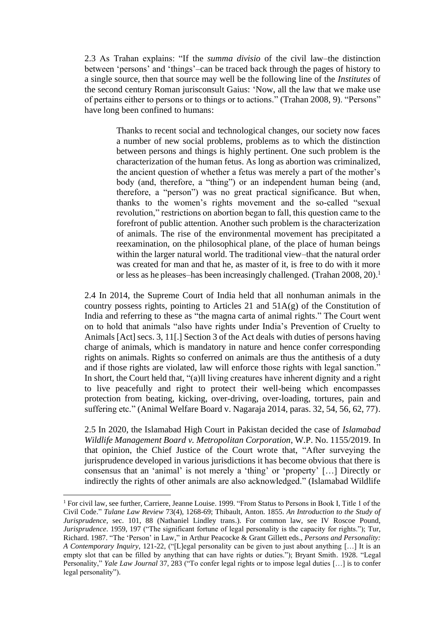2.3 As Trahan explains: "If the *summa divisio* of the civil law–the distinction between 'persons' and 'things'–can be traced back through the pages of history to a single source, then that source may well be the following line of the *Institutes* of the second century Roman jurisconsult Gaius: 'Now, all the law that we make use of pertains either to persons or to things or to actions." (Trahan 2008, 9). "Persons" have long been confined to humans:

> Thanks to recent social and technological changes, our society now faces a number of new social problems, problems as to which the distinction between persons and things is highly pertinent. One such problem is the characterization of the human fetus. As long as abortion was criminalized, the ancient question of whether a fetus was merely a part of the mother's body (and, therefore, a "thing") or an independent human being (and, therefore, a "person") was no great practical significance. But when, thanks to the women's rights movement and the so-called "sexual revolution," restrictions on abortion began to fall, this question came to the forefront of public attention. Another such problem is the characterization of animals. The rise of the environmental movement has precipitated a reexamination, on the philosophical plane, of the place of human beings within the larger natural world. The traditional view–that the natural order was created for man and that he, as master of it, is free to do with it more or less as he pleases–has been increasingly challenged. (Trahan 2008, 20). 1

2.4 In 2014, the Supreme Court of India held that all nonhuman animals in the country possess rights, pointing to Articles 21 and 51A(g) of the Constitution of India and referring to these as "the magna carta of animal rights." The Court went on to hold that animals "also have rights under India's Prevention of Cruelty to Animals [Act] secs. 3, 11[.] Section 3 of the Act deals with duties of persons having charge of animals, which is mandatory in nature and hence confer corresponding rights on animals. Rights so conferred on animals are thus the antithesis of a duty and if those rights are violated, law will enforce those rights with legal sanction." In short, the Court held that, "(a)ll living creatures have inherent dignity and a right to live peacefully and right to protect their well-being which encompasses protection from beating, kicking, over-driving, over-loading, tortures, pain and suffering etc." (Animal Welfare Board v. Nagaraja 2014, paras. 32, 54, 56, 62, 77).

2.5 In 2020, the Islamabad High Court in Pakistan decided the case of *Islamabad Wildlife Management Board v. Metropolitan Corporation*, W.P. No. 1155/2019. In that opinion, the Chief Justice of the Court wrote that, "After surveying the jurisprudence developed in various jurisdictions it has become obvious that there is consensus that an 'animal' is not merely a 'thing' or 'property' […] Directly or indirectly the rights of other animals are also acknowledged." (Islamabad Wildlife

<sup>1</sup> For civil law, see further, Carriere, Jeanne Louise. 1999. "From Status to Persons in Book I, Title 1 of the Civil Code." *Tulane Law Review* 73(4), 1268-69; Thibault, Anton. 1855. *An Introduction to the Study of Jurisprudence,* sec. 101, 88 (Nathaniel Lindley trans.). For common law, see IV Roscoe Pound, *Jurisprudence*. 1959, 197 ("The significant fortune of legal personality is the capacity for rights."); Tur, Richard. 1987. "The 'Person' in Law," in Arthur Peacocke & Grant Gillett eds., *Persons and Personality: A Contemporary Inquiry*, 121-22, ("[L]egal personality can be given to just about anything […] It is an empty slot that can be filled by anything that can have rights or duties."); Bryant Smith. 1928. "Legal Personality," *Yale Law Journal* 37, 283 ("To confer legal rights or to impose legal duties […] is to confer legal personality").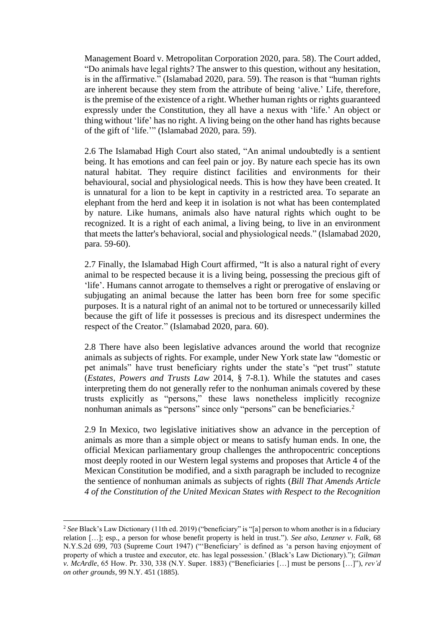Management Board v. Metropolitan Corporation 2020, para. 58). The Court added, "Do animals have legal rights? The answer to this question, without any hesitation, is in the affirmative." (Islamabad 2020, para. 59). The reason is that "human rights are inherent because they stem from the attribute of being 'alive.' Life, therefore, is the premise of the existence of a right. Whether human rights or rights guaranteed expressly under the Constitution, they all have a nexus with 'life.' An object or thing without 'life' has no right. A living being on the other hand has rights because of the gift of 'life.'" (Islamabad 2020, para. 59).

2.6 The Islamabad High Court also stated, "An animal undoubtedly is a sentient being. It has emotions and can feel pain or joy. By nature each specie has its own natural habitat. They require distinct facilities and environments for their behavioural, social and physiological needs. This is how they have been created. It is unnatural for a lion to be kept in captivity in a restricted area. To separate an elephant from the herd and keep it in isolation is not what has been contemplated by nature. Like humans, animals also have natural rights which ought to be recognized. It is a right of each animal, a living being, to live in an environment that meets the latter's behavioral, social and physiological needs." (Islamabad 2020, para. 59-60).

2.7 Finally, the Islamabad High Court affirmed, "It is also a natural right of every animal to be respected because it is a living being, possessing the precious gift of 'life'. Humans cannot arrogate to themselves a right or prerogative of enslaving or subjugating an animal because the latter has been born free for some specific purposes. It is a natural right of an animal not to be tortured or unnecessarily killed because the gift of life it possesses is precious and its disrespect undermines the respect of the Creator." (Islamabad 2020, para. 60).

2.8 There have also been legislative advances around the world that recognize animals as subjects of rights. For example, under New York state law "domestic or pet animals" have trust beneficiary rights under the state's "pet trust" statute (*Estates, Powers and Trusts Law* 2014, § 7-8.1). While the statutes and cases interpreting them do not generally refer to the nonhuman animals covered by these trusts explicitly as "persons," these laws nonetheless implicitly recognize nonhuman animals as "persons" since only "persons" can be beneficiaries.<sup>2</sup>

2.9 In Mexico, two legislative initiatives show an advance in the perception of animals as more than a simple object or means to satisfy human ends. In one, the official Mexican parliamentary group challenges the anthropocentric conceptions most deeply rooted in our Western legal systems and proposes that Article 4 of the Mexican Constitution be modified, and a sixth paragraph be included to recognize the sentience of nonhuman animals as subjects of rights (*Bill That Amends Article 4 of the Constitution of the United Mexican States with Respect to the Recognition* 

<sup>&</sup>lt;sup>2</sup> See Black's Law Dictionary (11th ed. 2019) ("beneficiary" is "[a] person to whom another is in a fiduciary relation […]; esp., a person for whose benefit property is held in trust."). *See also*, *Lenzner v. Falk*, 68 N.Y.S.2d 699, 703 (Supreme Court 1947) ("'Beneficiary' is defined as 'a person having enjoyment of property of which a trustee and executor, etc. has legal possession.' (Black's Law Dictionary)."); *Gilman v. McArdle*, 65 How. Pr. 330, 338 (N.Y. Super. 1883) ("Beneficiaries […] must be persons […]"), *rev'd on other grounds*, 99 N.Y. 451 (1885).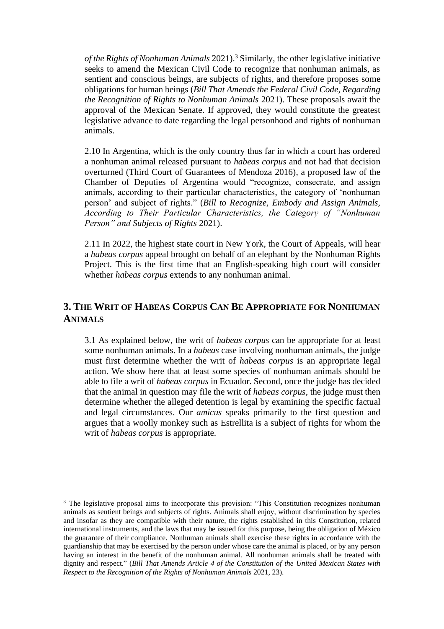*of the Rights of Nonhuman Animals* 2021). <sup>3</sup> Similarly, the other legislative initiative seeks to amend the Mexican Civil Code to recognize that nonhuman animals, as sentient and conscious beings, are subjects of rights, and therefore proposes some obligations for human beings (*Bill That Amends the Federal Civil Code, Regarding the Recognition of Rights to Nonhuman Animals* 2021). These proposals await the approval of the Mexican Senate. If approved, they would constitute the greatest legislative advance to date regarding the legal personhood and rights of nonhuman animals.

2.10 In Argentina, which is the only country thus far in which a court has ordered a nonhuman animal released pursuant to *habeas corpus* and not had that decision overturned (Third Court of Guarantees of Mendoza 2016), a proposed law of the Chamber of Deputies of Argentina would "recognize, consecrate, and assign animals, according to their particular characteristics, the category of 'nonhuman person' and subject of rights." (*Bill to Recognize, Embody and Assign Animals, According to Their Particular Characteristics, the Category of "Nonhuman Person" and Subjects of Rights* 2021).

2.11 In 2022, the highest state court in New York, the Court of Appeals, will hear a *habeas corpus* appeal brought on behalf of an elephant by the Nonhuman Rights Project. This is the first time that an English-speaking high court will consider whether *habeas corpus* extends to any nonhuman animal.

## **3. THE WRIT OF HABEAS CORPUS CAN BE APPROPRIATE FOR NONHUMAN ANIMALS**

3.1 As explained below, the writ of *habeas corpus* can be appropriate for at least some nonhuman animals. In a *habeas* case involving nonhuman animals, the judge must first determine whether the writ of *habeas corpus* is an appropriate legal action. We show here that at least some species of nonhuman animals should be able to file a writ of *habeas corpus* in Ecuador. Second, once the judge has decided that the animal in question may file the writ of *habeas corpus*, the judge must then determine whether the alleged detention is legal by examining the specific factual and legal circumstances. Our *amicus* speaks primarily to the first question and argues that a woolly monkey such as Estrellita is a subject of rights for whom the writ of *habeas corpus* is appropriate.

<sup>&</sup>lt;sup>3</sup> The legislative proposal aims to incorporate this provision: "This Constitution recognizes nonhuman animals as sentient beings and subjects of rights. Animals shall enjoy, without discrimination by species and insofar as they are compatible with their nature, the rights established in this Constitution, related international instruments, and the laws that may be issued for this purpose, being the obligation of México the guarantee of their compliance. Nonhuman animals shall exercise these rights in accordance with the guardianship that may be exercised by the person under whose care the animal is placed, or by any person having an interest in the benefit of the nonhuman animal. All nonhuman animals shall be treated with dignity and respect." (*Bill That Amends Article 4 of the Constitution of the United Mexican States with Respect to the Recognition of the Rights of Nonhuman Animals* 2021, 23).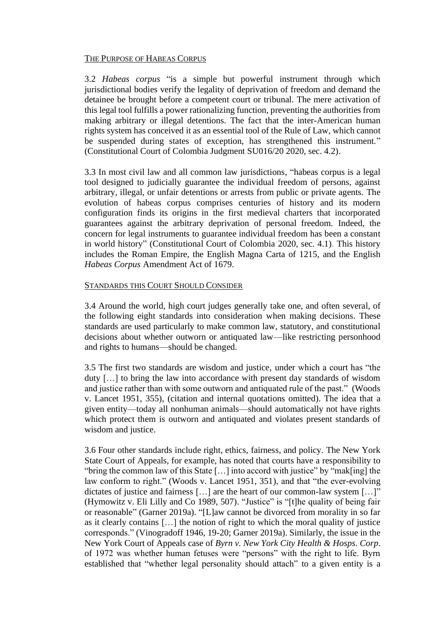## THE PURPOSE OF HABEAS CORPUS

3.2 *Habeas corpus* "is a simple but powerful instrument through which jurisdictional bodies verify the legality of deprivation of freedom and demand the detainee be brought before a competent court or tribunal. The mere activation of this legal tool fulfills a power rationalizing function, preventing the authorities from making arbitrary or illegal detentions. The fact that the inter-American human rights system has conceived it as an essential tool of the Rule of Law, which cannot be suspended during states of exception, has strengthened this instrument." (Constitutional Court of Colombia Judgment SU016/20 2020, sec. 4.2).

3.3 In most civil law and all common law jurisdictions, "habeas corpus is a legal tool designed to judicially guarantee the individual freedom of persons, against arbitrary, illegal, or unfair detentions or arrests from public or private agents. The evolution of habeas corpus comprises centuries of history and its modern configuration finds its origins in the first medieval charters that incorporated guarantees against the arbitrary deprivation of personal freedom. Indeed, the concern for legal instruments to guarantee individual freedom has been a constant in world history" (Constitutional Court of Colombia 2020, sec. 4.1). This history includes the Roman Empire, the English Magna Carta of 1215, and the English *Habeas Corpus* Amendment Act of 1679.

#### STANDARDS THIS COURT SHOULD CONSIDER

3.4 Around the world, high court judges generally take one, and often several, of the following eight standards into consideration when making decisions. These standards are used particularly to make common law, statutory, and constitutional decisions about whether outworn or antiquated law—like restricting personhood and rights to humans—should be changed.

3.5 The first two standards are wisdom and justice, under which a court has "the duty […] to bring the law into accordance with present day standards of wisdom and justice rather than with some outworn and antiquated rule of the past." (Woods v. Lancet 1951, 355), (citation and internal quotations omitted). The idea that a given entity—today all nonhuman animals—should automatically not have rights which protect them is outworn and antiquated and violates present standards of wisdom and justice.

3.6 Four other standards include right, ethics, fairness, and policy. The New York State Court of Appeals, for example, has noted that courts have a responsibility to "bring the common law of this State […] into accord with justice" by "mak[ing] the law conform to right." (Woods v. Lancet 1951, 351), and that "the ever-evolving dictates of justice and fairness […] are the heart of our common-law system […]" (Hymowitz v. Eli Lilly and Co 1989, 507). "Justice" is "[t]he quality of being fair or reasonable" (Garner 2019a). "[L]aw cannot be divorced from morality in so far as it clearly contains […] the notion of right to which the moral quality of justice corresponds." (Vinogradoff 1946, 19-20; Garner 2019a). Similarly, the issue in the New York Court of Appeals case of *Byrn v. New York City Health & Hosps. Corp*. of 1972 was whether human fetuses were "persons" with the right to life. Byrn established that "whether legal personality should attach" to a given entity is a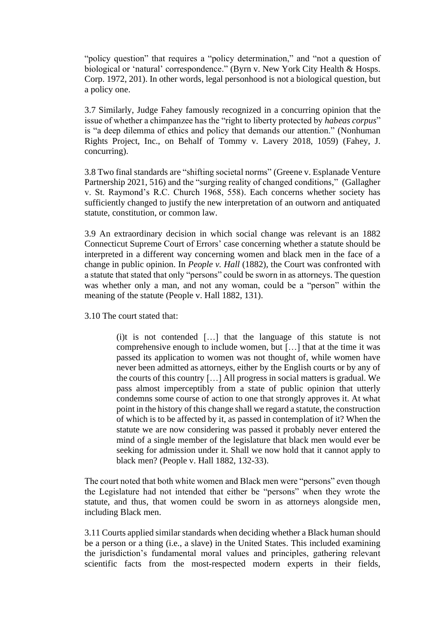"policy question" that requires a "policy determination," and "not a question of biological or 'natural' correspondence." (Byrn v. New York City Health & Hosps. Corp. 1972, 201). In other words, legal personhood is not a biological question, but a policy one.

3.7 Similarly, Judge Fahey famously recognized in a concurring opinion that the issue of whether a chimpanzee has the "right to liberty protected by *habeas corpus*" is "a deep dilemma of ethics and policy that demands our attention." (Nonhuman Rights Project, Inc., on Behalf of Tommy v. Lavery 2018, 1059) (Fahey, J. concurring).

3.8 Two final standards are "shifting societal norms" (Greene v. Esplanade Venture Partnership 2021, 516) and the "surging reality of changed conditions," (Gallagher v. St. Raymond's R.C. Church 1968, 558). Each concerns whether society has sufficiently changed to justify the new interpretation of an outworn and antiquated statute, constitution, or common law.

3.9 An extraordinary decision in which social change was relevant is an 1882 Connecticut Supreme Court of Errors' case concerning whether a statute should be interpreted in a different way concerning women and black men in the face of a change in public opinion. In *People v. Hall* (1882), the Court was confronted with a statute that stated that only "persons" could be sworn in as attorneys. The question was whether only a man, and not any woman, could be a "person" within the meaning of the statute (People v. Hall 1882, 131).

3.10 The court stated that:

(i)t is not contended […] that the language of this statute is not comprehensive enough to include women, but […] that at the time it was passed its application to women was not thought of, while women have never been admitted as attorneys, either by the English courts or by any of the courts of this country […] All progress in social matters is gradual. We pass almost imperceptibly from a state of public opinion that utterly condemns some course of action to one that strongly approves it. At what point in the history of this change shall we regard a statute, the construction of which is to be affected by it, as passed in contemplation of it? When the statute we are now considering was passed it probably never entered the mind of a single member of the legislature that black men would ever be seeking for admission under it. Shall we now hold that it cannot apply to black men? (People v. Hall 1882, 132-33).

The court noted that both white women and Black men were "persons" even though the Legislature had not intended that either be "persons" when they wrote the statute, and thus, that women could be sworn in as attorneys alongside men, including Black men.

3.11 Courts applied similar standards when deciding whether a Black human should be a person or a thing (i.e., a slave) in the United States. This included examining the jurisdiction's fundamental moral values and principles, gathering relevant scientific facts from the most-respected modern experts in their fields,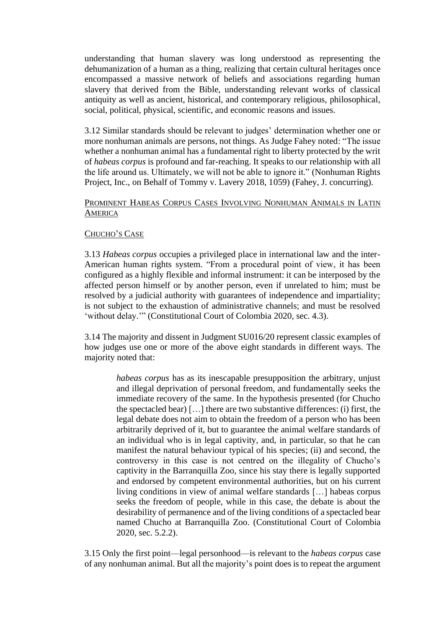understanding that human slavery was long understood as representing the dehumanization of a human as a thing, realizing that certain cultural heritages once encompassed a massive network of beliefs and associations regarding human slavery that derived from the Bible, understanding relevant works of classical antiquity as well as ancient, historical, and contemporary religious, philosophical, social, political, physical, scientific, and economic reasons and issues.

3.12 Similar standards should be relevant to judges' determination whether one or more nonhuman animals are persons, not things. As Judge Fahey noted: "The issue whether a nonhuman animal has a fundamental right to liberty protected by the writ of *habeas corpus* is profound and far-reaching. It speaks to our relationship with all the life around us. Ultimately, we will not be able to ignore it." (Nonhuman Rights Project, Inc., on Behalf of Tommy v. Lavery 2018, 1059) (Fahey, J. concurring).

### PROMINENT HABEAS CORPUS CASES INVOLVING NONHUMAN ANIMALS IN LATIN **AMERICA**

## CHUCHO'S CASE

3.13 *Habeas corpus* occupies a privileged place in international law and the inter-American human rights system. "From a procedural point of view, it has been configured as a highly flexible and informal instrument: it can be interposed by the affected person himself or by another person, even if unrelated to him; must be resolved by a judicial authority with guarantees of independence and impartiality; is not subject to the exhaustion of administrative channels; and must be resolved 'without delay.'" (Constitutional Court of Colombia 2020, sec. 4.3).

3.14 The majority and dissent in Judgment SU016/20 represent classic examples of how judges use one or more of the above eight standards in different ways. The majority noted that:

> *habeas corpus* has as its inescapable presupposition the arbitrary, unjust and illegal deprivation of personal freedom, and fundamentally seeks the immediate recovery of the same. In the hypothesis presented (for Chucho the spectacled bear) […] there are two substantive differences: (i) first, the legal debate does not aim to obtain the freedom of a person who has been arbitrarily deprived of it, but to guarantee the animal welfare standards of an individual who is in legal captivity, and, in particular, so that he can manifest the natural behaviour typical of his species; (ii) and second, the controversy in this case is not centred on the illegality of Chucho's captivity in the Barranquilla Zoo, since his stay there is legally supported and endorsed by competent environmental authorities, but on his current living conditions in view of animal welfare standards […] habeas corpus seeks the freedom of people, while in this case, the debate is about the desirability of permanence and of the living conditions of a spectacled bear named Chucho at Barranquilla Zoo. (Constitutional Court of Colombia 2020, sec. 5.2.2).

3.15 Only the first point—legal personhood—is relevant to the *habeas corpus* case of any nonhuman animal. But all the majority's point does is to repeat the argument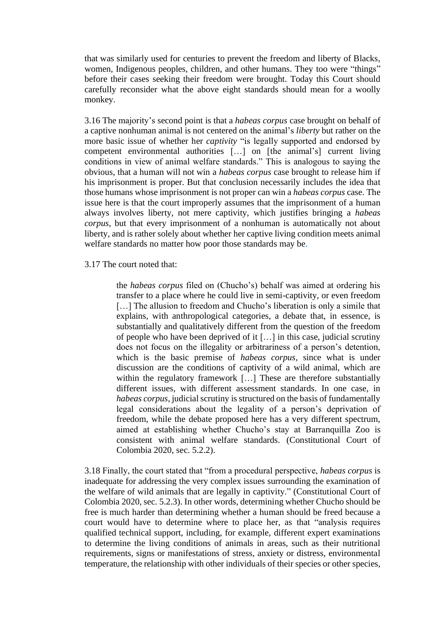that was similarly used for centuries to prevent the freedom and liberty of Blacks, women, Indigenous peoples, children, and other humans. They too were "things" before their cases seeking their freedom were brought. Today this Court should carefully reconsider what the above eight standards should mean for a woolly monkey.

3.16 The majority's second point is that a *habeas corpus* case brought on behalf of a captive nonhuman animal is not centered on the animal's *liberty* but rather on the more basic issue of whether her *captivity* "is legally supported and endorsed by competent environmental authorities […] on [the animal's] current living conditions in view of animal welfare standards." This is analogous to saying the obvious, that a human will not win a *habeas corpus* case brought to release him if his imprisonment is proper. But that conclusion necessarily includes the idea that those humans whose imprisonment is not proper can win a *habeas corpus* case. The issue here is that the court improperly assumes that the imprisonment of a human always involves liberty, not mere captivity, which justifies bringing a *habeas corpus*, but that every imprisonment of a nonhuman is automatically not about liberty, and is rather solely about whether her captive living condition meets animal welfare standards no matter how poor those standards may be.

#### 3.17 The court noted that:

the *habeas corpus* filed on (Chucho's) behalf was aimed at ordering his transfer to a place where he could live in semi-captivity, or even freedom [...] The allusion to freedom and Chucho's liberation is only a simile that explains, with anthropological categories, a debate that, in essence, is substantially and qualitatively different from the question of the freedom of people who have been deprived of it […] in this case, judicial scrutiny does not focus on the illegality or arbitrariness of a person's detention, which is the basic premise of *habeas corpus*, since what is under discussion are the conditions of captivity of a wild animal, which are within the regulatory framework [...] These are therefore substantially different issues, with different assessment standards. In one case, in *habeas corpus*, judicial scrutiny is structured on the basis of fundamentally legal considerations about the legality of a person's deprivation of freedom, while the debate proposed here has a very different spectrum, aimed at establishing whether Chucho's stay at Barranquilla Zoo is consistent with animal welfare standards. (Constitutional Court of Colombia 2020, sec. 5.2.2).

3.18 Finally, the court stated that "from a procedural perspective, *habeas corpus* is inadequate for addressing the very complex issues surrounding the examination of the welfare of wild animals that are legally in captivity." (Constitutional Court of Colombia 2020, sec. 5.2.3). In other words, determining whether Chucho should be free is much harder than determining whether a human should be freed because a court would have to determine where to place her, as that "analysis requires qualified technical support, including, for example, different expert examinations to determine the living conditions of animals in areas, such as their nutritional requirements, signs or manifestations of stress, anxiety or distress, environmental temperature, the relationship with other individuals of their species or other species,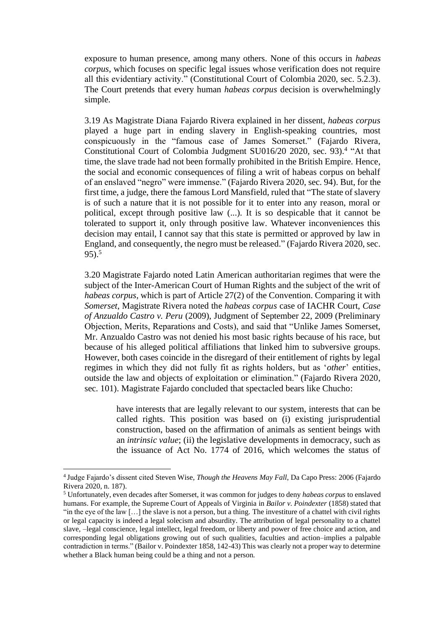exposure to human presence, among many others. None of this occurs in *habeas corpus*, which focuses on specific legal issues whose verification does not require all this evidentiary activity." (Constitutional Court of Colombia 2020, sec. 5.2.3). The Court pretends that every human *habeas corpus* decision is overwhelmingly simple.

3.19 As Magistrate Diana Fajardo Rivera explained in her dissent, *habeas corpus* played a huge part in ending slavery in English-speaking countries, most conspicuously in the "famous case of James Somerset." (Fajardo Rivera, Constitutional Court of Colombia Judgment SU016/20 2020, sec. 93). 4 "At that time, the slave trade had not been formally prohibited in the British Empire. Hence, the social and economic consequences of filing a writ of habeas corpus on behalf of an enslaved "negro" were immense." (Fajardo Rivera 2020, sec. 94). But, for the first time, a judge, there the famous Lord Mansfield, ruled that "The state of slavery is of such a nature that it is not possible for it to enter into any reason, moral or political, except through positive law (...). It is so despicable that it cannot be tolerated to support it, only through positive law. Whatever inconveniences this decision may entail, I cannot say that this state is permitted or approved by law in England, and consequently, the negro must be released." (Fajardo Rivera 2020, sec. 95). 5

3.20 Magistrate Fajardo noted Latin American authoritarian regimes that were the subject of the Inter-American Court of Human Rights and the subject of the writ of *habeas corpus*, which is part of Article 27(2) of the Convention. Comparing it with *Somerset*, Magistrate Rivera noted the *habeas corpus* case of IACHR Court, *Case of Anzualdo Castro v. Peru* (2009), Judgment of September 22, 2009 (Preliminary Objection, Merits, Reparations and Costs), and said that "Unlike James Somerset, Mr. Anzualdo Castro was not denied his most basic rights because of his race, but because of his alleged political affiliations that linked him to subversive groups. However, both cases coincide in the disregard of their entitlement of rights by legal regimes in which they did not fully fit as rights holders, but as '*other*' entities, outside the law and objects of exploitation or elimination." (Fajardo Rivera 2020, sec. 101). Magistrate Fajardo concluded that spectacled bears like Chucho:

> have interests that are legally relevant to our system, interests that can be called rights. This position was based on (i) existing jurisprudential construction, based on the affirmation of animals as sentient beings with an *intrinsic value*; (ii) the legislative developments in democracy, such as the issuance of Act No. 1774 of 2016, which welcomes the status of

<sup>4</sup> Judge Fajardo's dissent cited Steven Wise, *Though the Heavens May Fall*, Da Capo Press: 2006 (Fajardo Rivera 2020, n. 187).

<sup>5</sup> Unfortunately, even decades after Somerset, it was common for judges to deny *habeas corpus* to enslaved humans. For example, the Supreme Court of Appeals of Virginia in *Bailor v. Poindexter* (1858) stated that "in the eye of the law […] the slave is not a person, but a thing. The investiture of a chattel with civil rights or legal capacity is indeed a legal solecism and absurdity. The attribution of legal personality to a chattel slave, –legal conscience, legal intellect, legal freedom, or liberty and power of free choice and action, and corresponding legal obligations growing out of such qualities, faculties and action–implies a palpable contradiction in terms." (Bailor v. Poindexter 1858, 142-43) This was clearly not a proper way to determine whether a Black human being could be a thing and not a person.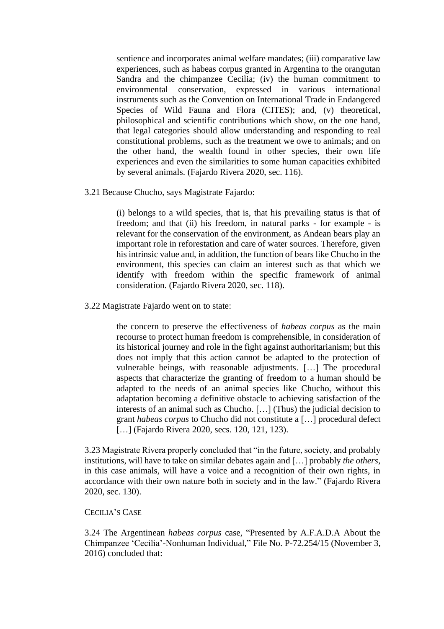sentience and incorporates animal welfare mandates; (iii) comparative law experiences, such as habeas corpus granted in Argentina to the orangutan Sandra and the chimpanzee Cecilia; (iv) the human commitment to environmental conservation, expressed in various international instruments such as the Convention on International Trade in Endangered Species of Wild Fauna and Flora (CITES); and, (v) theoretical, philosophical and scientific contributions which show, on the one hand, that legal categories should allow understanding and responding to real constitutional problems, such as the treatment we owe to animals; and on the other hand, the wealth found in other species, their own life experiences and even the similarities to some human capacities exhibited by several animals. (Fajardo Rivera 2020, sec. 116).

3.21 Because Chucho, says Magistrate Fajardo:

(i) belongs to a wild species, that is, that his prevailing status is that of freedom; and that (ii) his freedom, in natural parks - for example - is relevant for the conservation of the environment, as Andean bears play an important role in reforestation and care of water sources. Therefore, given his intrinsic value and, in addition, the function of bears like Chucho in the environment, this species can claim an interest such as that which we identify with freedom within the specific framework of animal consideration. (Fajardo Rivera 2020, sec. 118).

3.22 Magistrate Fajardo went on to state:

the concern to preserve the effectiveness of *habeas corpus* as the main recourse to protect human freedom is comprehensible, in consideration of its historical journey and role in the fight against authoritarianism; but this does not imply that this action cannot be adapted to the protection of vulnerable beings, with reasonable adjustments. […] The procedural aspects that characterize the granting of freedom to a human should be adapted to the needs of an animal species like Chucho, without this adaptation becoming a definitive obstacle to achieving satisfaction of the interests of an animal such as Chucho. […] (Thus) the judicial decision to grant *habeas corpus* to Chucho did not constitute a […] procedural defect [...] (Fajardo Rivera 2020, secs. 120, 121, 123).

3.23 Magistrate Rivera properly concluded that "in the future, society, and probably institutions, will have to take on similar debates again and […] probably *the others*, in this case animals, will have a voice and a recognition of their own rights, in accordance with their own nature both in society and in the law." (Fajardo Rivera 2020, sec. 130).

#### CECILIA'S CASE

3.24 The Argentinean *habeas corpus* case, "Presented by A.F.A.D.A About the Chimpanzee 'Cecilia'-Nonhuman Individual," File No. P-72.254/15 (November 3, 2016) concluded that: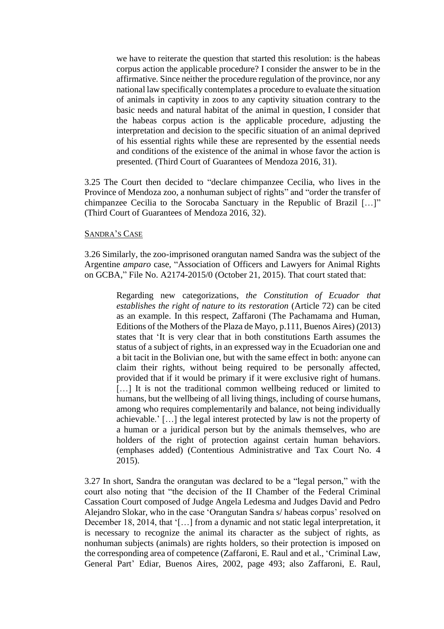we have to reiterate the question that started this resolution: is the habeas corpus action the applicable procedure? I consider the answer to be in the affirmative. Since neither the procedure regulation of the province, nor any national law specifically contemplates a procedure to evaluate the situation of animals in captivity in zoos to any captivity situation contrary to the basic needs and natural habitat of the animal in question, I consider that the habeas corpus action is the applicable procedure, adjusting the interpretation and decision to the specific situation of an animal deprived of his essential rights while these are represented by the essential needs and conditions of the existence of the animal in whose favor the action is presented. (Third Court of Guarantees of Mendoza 2016, 31).

3.25 The Court then decided to "declare chimpanzee Cecilia, who lives in the Province of Mendoza zoo, a nonhuman subject of rights" and "order the transfer of chimpanzee Cecilia to the Sorocaba Sanctuary in the Republic of Brazil […]" (Third Court of Guarantees of Mendoza 2016, 32).

#### SANDRA'S CASE

3.26 Similarly, the zoo-imprisoned orangutan named Sandra was the subject of the Argentine *amparo* case, "Association of Officers and Lawyers for Animal Rights on GCBA," File No. A2174-2015/0 (October 21, 2015). That court stated that:

> Regarding new categorizations, *the Constitution of Ecuador that establishes the right of nature to its restoration* (Article 72) can be cited as an example. In this respect, Zaffaroni (The Pachamama and Human, Editions of the Mothers of the Plaza de Mayo, p.111, Buenos Aires) (2013) states that 'It is very clear that in both constitutions Earth assumes the status of a subject of rights, in an expressed way in the Ecuadorian one and a bit tacit in the Bolivian one, but with the same effect in both: anyone can claim their rights, without being required to be personally affected, provided that if it would be primary if it were exclusive right of humans. [...] It is not the traditional common wellbeing reduced or limited to humans, but the wellbeing of all living things, including of course humans, among who requires complementarily and balance, not being individually achievable.' […] the legal interest protected by law is not the property of a human or a juridical person but by the animals themselves, who are holders of the right of protection against certain human behaviors. (emphases added) (Contentious Administrative and Tax Court No. 4 2015).

3.27 In short, Sandra the orangutan was declared to be a "legal person," with the court also noting that "the decision of the II Chamber of the Federal Criminal Cassation Court composed of Judge Angela Ledesma and Judges David and Pedro Alejandro Slokar, who in the case 'Orangutan Sandra s/ habeas corpus' resolved on December 18, 2014, that '[...] from a dynamic and not static legal interpretation, it is necessary to recognize the animal its character as the subject of rights, as nonhuman subjects (animals) are rights holders, so their protection is imposed on the corresponding area of competence (Zaffaroni, E. Raul and et al., 'Criminal Law, General Part' Ediar, Buenos Aires, 2002, page 493; also Zaffaroni, E. Raul,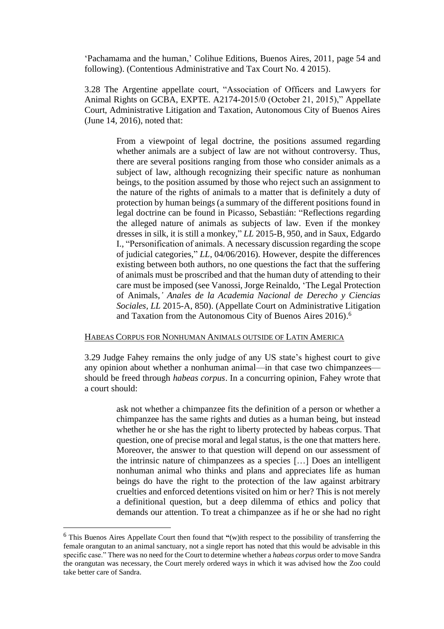'Pachamama and the human,' Colihue Editions, Buenos Aires, 2011, page 54 and following). (Contentious Administrative and Tax Court No. 4 2015).

3.28 The Argentine appellate court, "Association of Officers and Lawyers for Animal Rights on GCBA, EXPTE. A2174-2015/0 (October 21, 2015)," Appellate Court, Administrative Litigation and Taxation, Autonomous City of Buenos Aires (June 14, 2016), noted that:

> From a viewpoint of legal doctrine, the positions assumed regarding whether animals are a subject of law are not without controversy. Thus, there are several positions ranging from those who consider animals as a subject of law, although recognizing their specific nature as nonhuman beings, to the position assumed by those who reject such an assignment to the nature of the rights of animals to a matter that is definitely a duty of protection by human beings (a summary of the different positions found in legal doctrine can be found in Picasso, Sebastián: "Reflections regarding the alleged nature of animals as subjects of law. Even if the monkey dresses in silk, it is still a monkey," *LL* 2015-B, 950, and in Saux, Edgardo I., "Personification of animals. A necessary discussion regarding the scope of judicial categories," *LL*, 04/06/2016). However, despite the differences existing between both authors, no one questions the fact that the suffering of animals must be proscribed and that the human duty of attending to their care must be imposed (see Vanossi, Jorge Reinaldo, 'The Legal Protection of Animals,*' Anales de la Academia Nacional de Derecho y Ciencias Sociales, LL* 2015-A, 850). (Appellate Court on Administrative Litigation and Taxation from the Autonomous City of Buenos Aires 2016). 6

#### HABEAS CORPUS FOR NONHUMAN ANIMALS OUTSIDE OF LATIN AMERICA

3.29 Judge Fahey remains the only judge of any US state's highest court to give any opinion about whether a nonhuman animal—in that case two chimpanzees should be freed through *habeas corpus*. In a concurring opinion, Fahey wrote that a court should:

> ask not whether a chimpanzee fits the definition of a person or whether a chimpanzee has the same rights and duties as a human being, but instead whether he or she has the right to liberty protected by habeas corpus. That question, one of precise moral and legal status, is the one that matters here. Moreover, the answer to that question will depend on our assessment of the intrinsic nature of chimpanzees as a species […] Does an intelligent nonhuman animal who thinks and plans and appreciates life as human beings do have the right to the protection of the law against arbitrary cruelties and enforced detentions visited on him or her? This is not merely a definitional question, but a deep dilemma of ethics and policy that demands our attention. To treat a chimpanzee as if he or she had no right

<sup>6</sup> This Buenos Aires Appellate Court then found that **"**(w)ith respect to the possibility of transferring the female orangutan to an animal sanctuary, not a single report has noted that this would be advisable in this specific case." There was no need for the Court to determine whether a *habeas corpus* order to move Sandra the orangutan was necessary, the Court merely ordered ways in which it was advised how the Zoo could take better care of Sandra.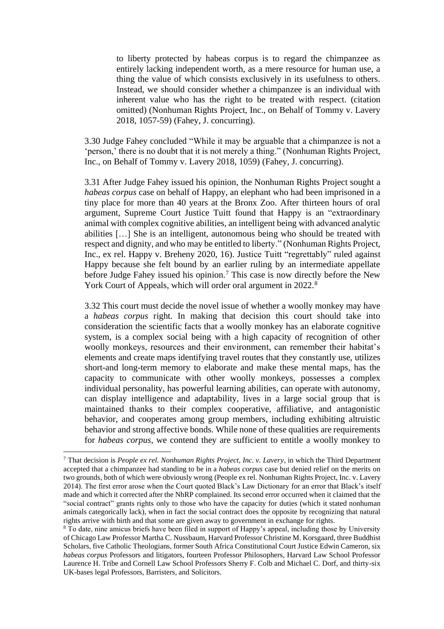to liberty protected by habeas corpus is to regard the chimpanzee as entirely lacking independent worth, as a mere resource for human use, a thing the value of which consists exclusively in its usefulness to others. Instead, we should consider whether a chimpanzee is an individual with inherent value who has the right to be treated with respect. (citation omitted) (Nonhuman Rights Project, Inc., on Behalf of Tommy v. Lavery 2018, 1057-59) (Fahey, J. concurring).

3.30 Judge Fahey concluded "While it may be arguable that a chimpanzee is not a 'person,' there is no doubt that it is not merely a thing." (Nonhuman Rights Project, Inc., on Behalf of Tommy v. Lavery 2018, 1059) (Fahey, J. concurring).

3.31 After Judge Fahey issued his opinion, the Nonhuman Rights Project sought a *habeas corpus* case on behalf of Happy, an elephant who had been imprisoned in a tiny place for more than 40 years at the Bronx Zoo. After thirteen hours of oral argument, Supreme Court Justice Tuitt found that Happy is an "extraordinary animal with complex cognitive abilities, an intelligent being with advanced analytic abilities […] She is an intelligent, autonomous being who should be treated with respect and dignity, and who may be entitled to liberty." (Nonhuman Rights Project, Inc., ex rel. Happy v. Breheny 2020, 16). Justice Tuitt "regrettably" ruled against Happy because she felt bound by an earlier ruling by an intermediate appellate before Judge Fahey issued his opinion.<sup>7</sup> This case is now directly before the New York Court of Appeals, which will order oral argument in 2022.<sup>8</sup>

3.32 This court must decide the novel issue of whether a woolly monkey may have a *habeas corpus* right. In making that decision this court should take into consideration the scientific facts that a woolly monkey has an elaborate cognitive system, is a complex social being with a high capacity of recognition of other woolly monkeys, resources and their environment, can remember their habitat's elements and create maps identifying travel routes that they constantly use, utilizes short-and long-term memory to elaborate and make these mental maps, has the capacity to communicate with other woolly monkeys, possesses a complex individual personality, has powerful learning abilities, can operate with autonomy, can display intelligence and adaptability, lives in a large social group that is maintained thanks to their complex cooperative, affiliative, and antagonistic behavior, and cooperates among group members, including exhibiting altruistic behavior and strong affective bonds. While none of these qualities are requirements for *habeas corpus*, we contend they are sufficient to entitle a woolly monkey to

<sup>7</sup> That decision is *People ex rel. Nonhuman Rights Project, Inc. v. Lavery*, in which the Third Department accepted that a chimpanzee had standing to be in a *habeas corpus* case but denied relief on the merits on two grounds, both of which were obviously wrong (People ex rel. Nonhuman Rights Project, Inc. v. Lavery 2014). The first error arose when the Court quoted Black's Law Dictionary for an error that Black's itself made and which it corrected after the NhRP complained. Its second error occurred when it claimed that the "social contract" grants rights only to those who have the capacity for duties (which it stated nonhuman animals categorically lack), when in fact the social contract does the opposite by recognizing that natural rights arrive with birth and that some are given away to government in exchange for rights.

<sup>&</sup>lt;sup>8</sup> To date, nine amicus briefs have been filed in support of Happy's appeal, including those by University of Chicago Law Professor Martha C. Nussbaum, Harvard Professor Christine M. Korsgaard, three Buddhist Scholars, five Catholic Theologians, former South Africa Constitutional Court Justice Edwin Cameron, six *habeas corpus* Professors and litigators, fourteen Professor Philosophers, Harvard Law School Professor Laurence H. Tribe and Cornell Law School Professors Sherry F. Colb and Michael C. Dorf, and thirty-six UK-bases legal Professors, Barristers, and Solicitors.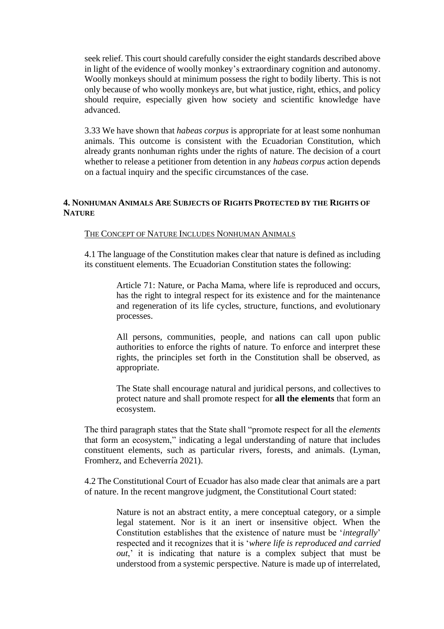seek relief. This court should carefully consider the eight standards described above in light of the evidence of woolly monkey's extraordinary cognition and autonomy. Woolly monkeys should at minimum possess the right to bodily liberty. This is not only because of who woolly monkeys are, but what justice, right, ethics, and policy should require, especially given how society and scientific knowledge have advanced.

3.33 We have shown that *habeas corpus* is appropriate for at least some nonhuman animals. This outcome is consistent with the Ecuadorian Constitution, which already grants nonhuman rights under the rights of nature. The decision of a court whether to release a petitioner from detention in any *habeas corpus* action depends on a factual inquiry and the specific circumstances of the case.

## **4. NONHUMAN ANIMALS ARE SUBJECTS OF RIGHTS PROTECTED BY THE RIGHTS OF NATURE**

#### THE CONCEPT OF NATURE INCLUDES NONHUMAN ANIMALS

4.1 The language of the Constitution makes clear that nature is defined as including its constituent elements. The Ecuadorian Constitution states the following:

> Article 71: Nature, or Pacha Mama, where life is reproduced and occurs, has the right to integral respect for its existence and for the maintenance and regeneration of its life cycles, structure, functions, and evolutionary processes.

> All persons, communities, people, and nations can call upon public authorities to enforce the rights of nature. To enforce and interpret these rights, the principles set forth in the Constitution shall be observed, as appropriate.

> The State shall encourage natural and juridical persons, and collectives to protect nature and shall promote respect for **all the elements** that form an ecosystem.

The third paragraph states that the State shall "promote respect for all the *elements*  that form an ecosystem," indicating a legal understanding of nature that includes constituent elements, such as particular rivers, forests, and animals. (Lyman, Fromherz, and Echeverría 2021).

4.2 The Constitutional Court of Ecuador has also made clear that animals are a part of nature. In the recent mangrove judgment, the Constitutional Court stated:

> Nature is not an abstract entity, a mere conceptual category, or a simple legal statement. Nor is it an inert or insensitive object. When the Constitution establishes that the existence of nature must be '*integrally*' respected and it recognizes that it is '*where life is reproduced and carried out*,' it is indicating that nature is a complex subject that must be understood from a systemic perspective. Nature is made up of interrelated,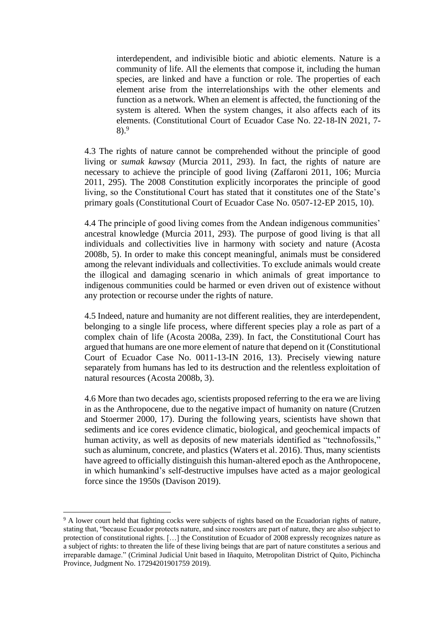interdependent, and indivisible biotic and abiotic elements. Nature is a community of life. All the elements that compose it, including the human species, are linked and have a function or role. The properties of each element arise from the interrelationships with the other elements and function as a network. When an element is affected, the functioning of the system is altered. When the system changes, it also affects each of its elements. (Constitutional Court of Ecuador Case No. 22-18-IN 2021, 7-  $8).<sup>9</sup>$ 

4.3 The rights of nature cannot be comprehended without the principle of good living or *sumak kawsay* (Murcia 2011, 293). In fact, the rights of nature are necessary to achieve the principle of good living (Zaffaroni 2011, 106; Murcia 2011, 295). The 2008 Constitution explicitly incorporates the principle of good living, so the Constitutional Court has stated that it constitutes one of the State's primary goals (Constitutional Court of Ecuador Case No. 0507-12-EP 2015, 10).

4.4 The principle of good living comes from the Andean indigenous communities' ancestral knowledge (Murcia 2011, 293). The purpose of good living is that all individuals and collectivities live in harmony with society and nature (Acosta 2008b, 5). In order to make this concept meaningful, animals must be considered among the relevant individuals and collectivities. To exclude animals would create the illogical and damaging scenario in which animals of great importance to indigenous communities could be harmed or even driven out of existence without any protection or recourse under the rights of nature.

4.5 Indeed, nature and humanity are not different realities, they are interdependent, belonging to a single life process, where different species play a role as part of a complex chain of life (Acosta 2008a, 239). In fact, the Constitutional Court has argued that humans are one more element of nature that depend on it (Constitutional Court of Ecuador Case No. 0011-13-IN 2016, 13). Precisely viewing nature separately from humans has led to its destruction and the relentless exploitation of natural resources (Acosta 2008b, 3).

4.6 More than two decades ago, scientists proposed referring to the era we are living in as the Anthropocene, due to the negative impact of humanity on nature (Crutzen and Stoermer 2000, 17). During the following years, scientists have shown that sediments and ice cores evidence climatic, biological, and geochemical impacts of human activity, as well as deposits of new materials identified as "technofossils," such as aluminum, concrete, and plastics (Waters et al. 2016). Thus, many scientists have agreed to officially distinguish this human-altered epoch as the Anthropocene, in which humankind's self-destructive impulses have acted as a major geological force since the 1950s (Davison 2019).

<sup>9</sup> A lower court held that fighting cocks were subjects of rights based on the Ecuadorian rights of nature, stating that, "because Ecuador protects nature, and since roosters are part of nature, they are also subject to protection of constitutional rights. […] the Constitution of Ecuador of 2008 expressly recognizes nature as a subject of rights: to threaten the life of these living beings that are part of nature constitutes a serious and irreparable damage." (Criminal Judicial Unit based in Iñaquito, Metropolitan District of Quito, Pichincha Province, Judgment No. 17294201901759 2019).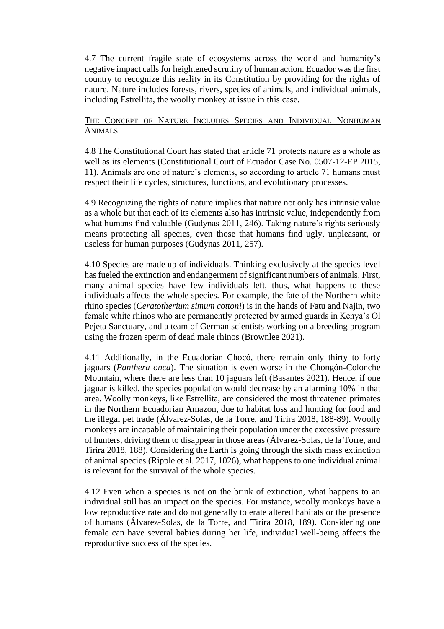4.7 The current fragile state of ecosystems across the world and humanity's negative impact calls for heightened scrutiny of human action. Ecuador was the first country to recognize this reality in its Constitution by providing for the rights of nature. Nature includes forests, rivers, species of animals, and individual animals, including Estrellita, the woolly monkey at issue in this case.

## THE CONCEPT OF NATURE INCLUDES SPECIES AND INDIVIDUAL NONHUMAN ANIMALS

4.8 The Constitutional Court has stated that article 71 protects nature as a whole as well as its elements (Constitutional Court of Ecuador Case No. 0507-12-EP 2015, 11). Animals are one of nature's elements, so according to article 71 humans must respect their life cycles, structures, functions, and evolutionary processes.

4.9 Recognizing the rights of nature implies that nature not only has intrinsic value as a whole but that each of its elements also has intrinsic value, independently from what humans find valuable (Gudynas 2011, 246). Taking nature's rights seriously means protecting all species, even those that humans find ugly, unpleasant, or useless for human purposes (Gudynas 2011, 257).

4.10 Species are made up of individuals. Thinking exclusively at the species level has fueled the extinction and endangerment of significant numbers of animals. First, many animal species have few individuals left, thus, what happens to these individuals affects the whole species. For example, the fate of the Northern white rhino species (*Ceratotherium simum cottoni*) is in the hands of Fatu and Najin, two female white rhinos who are permanently protected by armed guards in Kenya's Ol Pejeta Sanctuary, and a team of German scientists working on a breeding program using the frozen sperm of dead male rhinos (Brownlee 2021).

4.11 Additionally, in the Ecuadorian Chocó, there remain only thirty to forty jaguars (*Panthera onca*). The situation is even worse in the Chongón-Colonche Mountain, where there are less than 10 jaguars left (Basantes 2021). Hence, if one jaguar is killed, the species population would decrease by an alarming 10% in that area. Woolly monkeys, like Estrellita, are considered the most threatened primates in the Northern Ecuadorian Amazon, due to habitat loss and hunting for food and the illegal pet trade (Álvarez-Solas, de la Torre, and Tirira 2018, 188-89). Woolly monkeys are incapable of maintaining their population under the excessive pressure of hunters, driving them to disappear in those areas (Álvarez-Solas, de la Torre, and Tirira 2018, 188). Considering the Earth is going through the sixth mass extinction of animal species (Ripple et al. 2017, 1026), what happens to one individual animal is relevant for the survival of the whole species.

4.12 Even when a species is not on the brink of extinction, what happens to an individual still has an impact on the species. For instance, woolly monkeys have a low reproductive rate and do not generally tolerate altered habitats or the presence of humans (Álvarez-Solas, de la Torre, and Tirira 2018, 189). Considering one female can have several babies during her life, individual well-being affects the reproductive success of the species.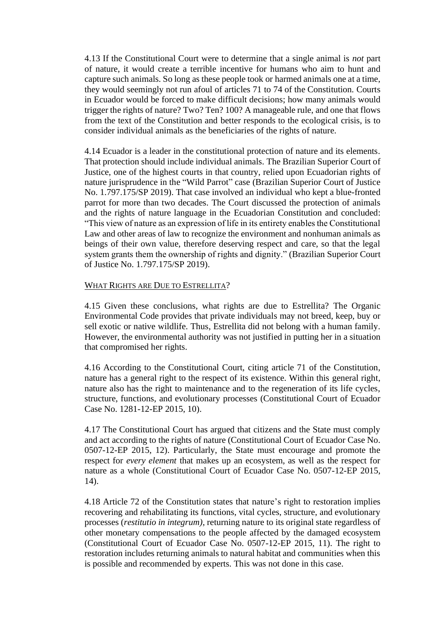4.13 If the Constitutional Court were to determine that a single animal is *not* part of nature, it would create a terrible incentive for humans who aim to hunt and capture such animals. So long as these people took or harmed animals one at a time, they would seemingly not run afoul of articles 71 to 74 of the Constitution. Courts in Ecuador would be forced to make difficult decisions; how many animals would trigger the rights of nature? Two? Ten? 100? A manageable rule, and one that flows from the text of the Constitution and better responds to the ecological crisis, is to consider individual animals as the beneficiaries of the rights of nature.

4.14 Ecuador is a leader in the constitutional protection of nature and its elements. That protection should include individual animals. The Brazilian Superior Court of Justice, one of the highest courts in that country, relied upon Ecuadorian rights of nature jurisprudence in the "Wild Parrot" case (Brazilian Superior Court of Justice No. 1.797.175/SP 2019). That case involved an individual who kept a blue-fronted parrot for more than two decades. The Court discussed the protection of animals and the rights of nature language in the Ecuadorian Constitution and concluded: "This view of nature as an expression of life in its entirety enables the Constitutional Law and other areas of law to recognize the environment and nonhuman animals as beings of their own value, therefore deserving respect and care, so that the legal system grants them the ownership of rights and dignity." (Brazilian Superior Court of Justice No. 1.797.175/SP 2019).

## WHAT RIGHTS ARE DUE TO ESTRELLITA?

4.15 Given these conclusions, what rights are due to Estrellita? The Organic Environmental Code provides that private individuals may not breed, keep, buy or sell exotic or native wildlife. Thus, Estrellita did not belong with a human family. However, the environmental authority was not justified in putting her in a situation that compromised her rights.

4.16 According to the Constitutional Court, citing article 71 of the Constitution, nature has a general right to the respect of its existence. Within this general right, nature also has the right to maintenance and to the regeneration of its life cycles, structure, functions, and evolutionary processes (Constitutional Court of Ecuador Case No. 1281-12-EP 2015, 10).

4.17 The Constitutional Court has argued that citizens and the State must comply and act according to the rights of nature (Constitutional Court of Ecuador Case No. 0507-12-EP 2015, 12). Particularly, the State must encourage and promote the respect for *every element* that makes up an ecosystem, as well as the respect for nature as a whole (Constitutional Court of Ecuador Case No. 0507-12-EP 2015, 14).

4.18 Article 72 of the Constitution states that nature's right to restoration implies recovering and rehabilitating its functions, vital cycles, structure, and evolutionary processes (*restitutio in integrum)*, returning nature to its original state regardless of other monetary compensations to the people affected by the damaged ecosystem (Constitutional Court of Ecuador Case No. 0507-12-EP 2015, 11). The right to restoration includes returning animals to natural habitat and communities when this is possible and recommended by experts. This was not done in this case.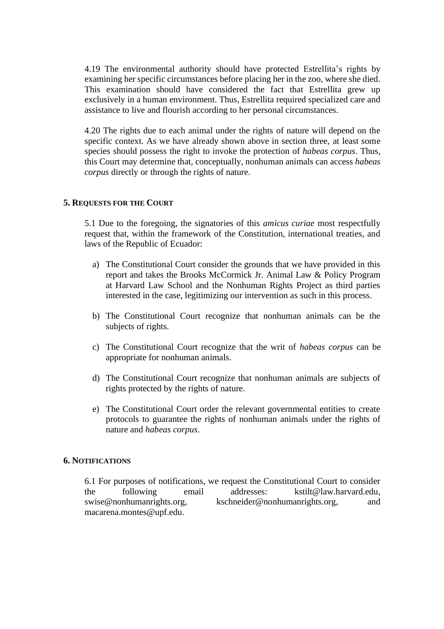4.19 The environmental authority should have protected Estrellita's rights by examining her specific circumstances before placing her in the zoo, where she died. This examination should have considered the fact that Estrellita grew up exclusively in a human environment. Thus, Estrellita required specialized care and assistance to live and flourish according to her personal circumstances.

4.20 The rights due to each animal under the rights of nature will depend on the specific context. As we have already shown above in section three, at least some species should possess the right to invoke the protection of *habeas corpus*. Thus, this Court may determine that, conceptually, nonhuman animals can access *habeas corpus* directly or through the rights of nature.

#### **5. REQUESTS FOR THE COURT**

5.1 Due to the foregoing, the signatories of this *amicus curiae* most respectfully request that, within the framework of the Constitution, international treaties, and laws of the Republic of Ecuador:

- a) The Constitutional Court consider the grounds that we have provided in this report and takes the Brooks McCormick Jr. Animal Law & Policy Program at Harvard Law School and the Nonhuman Rights Project as third parties interested in the case, legitimizing our intervention as such in this process.
- b) The Constitutional Court recognize that nonhuman animals can be the subjects of rights.
- c) The Constitutional Court recognize that the writ of *habeas corpus* can be appropriate for nonhuman animals.
- d) The Constitutional Court recognize that nonhuman animals are subjects of rights protected by the rights of nature.
- e) The Constitutional Court order the relevant governmental entities to create protocols to guarantee the rights of nonhuman animals under the rights of nature and *habeas corpus*.

#### **6. NOTIFICATIONS**

6.1 For purposes of notifications, we request the Constitutional Court to consider the following email addresses: [kstilt@law.harvard.edu,](mailto:kstilt@law.harvard.edu) [swise@nonhumanrights.org,](mailto:swise@nonhumanrights.org) [kschneider@nonhumanrights.org,](mailto:kschneider@nonhumanrights.org) and [macarena.montes@upf.edu.](mailto:macarena.montes@upf.edu)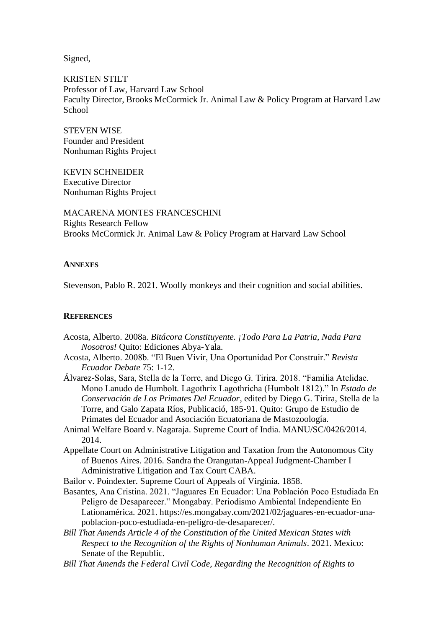Signed,

KRISTEN STILT Professor of Law, Harvard Law School Faculty Director, Brooks McCormick Jr. Animal Law & Policy Program at Harvard Law **School** 

STEVEN WISE Founder and President Nonhuman Rights Project

KEVIN SCHNEIDER Executive Director Nonhuman Rights Project

MACARENA MONTES FRANCESCHINI Rights Research Fellow Brooks McCormick Jr. Animal Law & Policy Program at Harvard Law School

#### **ANNEXES**

Stevenson, Pablo R. 2021. Woolly monkeys and their cognition and social abilities.

#### **REFERENCES**

- Acosta, Alberto. 2008a. *Bitácora Constituyente. ¡Todo Para La Patria, Nada Para Nosotros!* Quito: Ediciones Abya-Yala.
- Acosta, Alberto. 2008b. "El Buen Vivir, Una Oportunidad Por Construir." *Revista Ecuador Debate* 75: 1-12.
- Álvarez-Solas, Sara, Stella de la Torre, and Diego G. Tirira. 2018. "Familia Atelidae. Mono Lanudo de Humbolt. Lagothrix Lagothricha (Humbolt 1812)." In *Estado de Conservación de Los Primates Del Ecuador*, edited by Diego G. Tirira, Stella de la Torre, and Galo Zapata Ríos, Publicació, 185-91. Quito: Grupo de Estudio de Primates del Ecuador and Asociación Ecuatoriana de Mastozoología.
- Animal Welfare Board v. Nagaraja. Supreme Court of India. MANU/SC/0426/2014. 2014.
- Appellate Court on Administrative Litigation and Taxation from the Autonomous City of Buenos Aires. 2016. Sandra the Orangutan-Appeal Judgment-Chamber I Administrative Litigation and Tax Court CABA.

Bailor v. Poindexter. Supreme Court of Appeals of Virginia. 1858.

- Basantes, Ana Cristina. 2021. "Jaguares En Ecuador: Una Población Poco Estudiada En Peligro de Desaparecer." Mongabay. Periodismo Ambiental Independiente En Lationamérica. 2021. https://es.mongabay.com/2021/02/jaguares-en-ecuador-unapoblacion-poco-estudiada-en-peligro-de-desaparecer/.
- *Bill That Amends Article 4 of the Constitution of the United Mexican States with Respect to the Recognition of the Rights of Nonhuman Animals*. 2021. Mexico: Senate of the Republic.
- *Bill That Amends the Federal Civil Code, Regarding the Recognition of Rights to*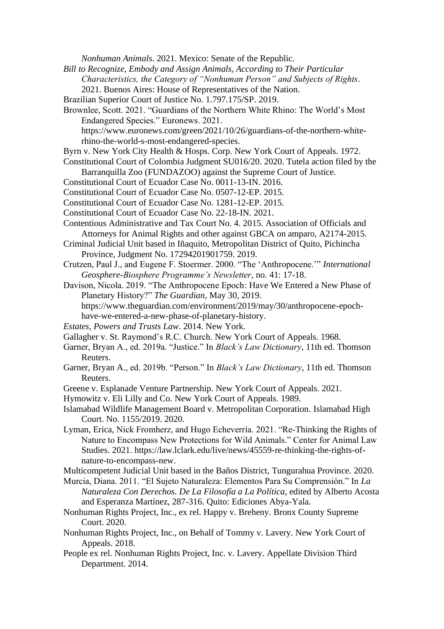*Nonhuman Animals*. 2021. Mexico: Senate of the Republic.

- *Bill to Recognize, Embody and Assign Animals, According to Their Particular Characteristics, the Category of "Nonhuman Person" and Subjects of Rights*. 2021. Buenos Aires: House of Representatives of the Nation.
- Brazilian Superior Court of Justice No. 1.797.175/SP. 2019.
- Brownlee, Scott. 2021. "Guardians of the Northern White Rhino: The World's Most Endangered Species." Euronews. 2021.
	- https://www.euronews.com/green/2021/10/26/guardians-of-the-northern-whiterhino-the-world-s-most-endangered-species.
- Byrn v. New York City Health & Hosps. Corp. New York Court of Appeals. 1972.
- Constitutional Court of Colombia Judgment SU016/20. 2020. Tutela action filed by the Barranquilla Zoo (FUNDAZOO) against the Supreme Court of Justice.
- Constitutional Court of Ecuador Case No. 0011-13-IN. 2016.
- Constitutional Court of Ecuador Case No. 0507-12-EP. 2015.
- Constitutional Court of Ecuador Case No. 1281-12-EP. 2015.
- Constitutional Court of Ecuador Case No. 22-18-IN. 2021.
- Contentious Administrative and Tax Court No. 4. 2015. Association of Officials and Attorneys for Animal Rights and other against GBCA on amparo, A2174-2015.
- Criminal Judicial Unit based in Iñaquito, Metropolitan District of Quito, Pichincha Province, Judgment No. 17294201901759. 2019.
- Crutzen, Paul J., and Eugene F. Stoermer. 2000. "The 'Anthropocene.'" *International Geosphere-Biosphere Programme's Newsletter*, no. 41: 17-18.
- Davison, Nicola. 2019. "The Anthropocene Epoch: Have We Entered a New Phase of Planetary History?" *The Guardian*, May 30, 2019. https://www.theguardian.com/environment/2019/may/30/anthropocene-epoch-
- have-we-entered-a-new-phase-of-planetary-history.
- *Estates, Powers and Trusts Law*. 2014. New York.
- Gallagher v. St. Raymond's R.C. Church. New York Court of Appeals. 1968.
- Garner, Bryan A., ed. 2019a. "Justice." In *Black's Law Dictionary*, 11th ed. Thomson Reuters.
- Garner, Bryan A., ed. 2019b. "Person." In *Black's Law Dictionary*, 11th ed. Thomson Reuters.
- Greene v. Esplanade Venture Partnership. New York Court of Appeals. 2021.
- Hymowitz v. Eli Lilly and Co. New York Court of Appeals. 1989.
- Islamabad Wildlife Management Board v. Metropolitan Corporation. Islamabad High Court. No. 1155/2019. 2020.
- Lyman, Erica, Nick Fromherz, and Hugo Echeverría. 2021. "Re-Thinking the Rights of Nature to Encompass New Protections for Wild Animals." Center for Animal Law Studies. 2021. https://law.lclark.edu/live/news/45559-re-thinking-the-rights-ofnature-to-encompass-new.
- Multicompetent Judicial Unit based in the Baños District, Tungurahua Province. 2020.
- Murcia, Diana. 2011. "El Sujeto Naturaleza: Elementos Para Su Comprensión." In *La Naturaleza Con Derechos. De La Filosofía a La Política*, edited by Alberto Acosta and Esperanza Martínez, 287-316. Quito: Ediciones Abya-Yala.
- Nonhuman Rights Project, Inc., ex rel. Happy v. Breheny. Bronx County Supreme Court. 2020.
- Nonhuman Rights Project, Inc., on Behalf of Tommy v. Lavery. New York Court of Appeals. 2018.
- People ex rel. Nonhuman Rights Project, Inc. v. Lavery. Appellate Division Third Department. 2014.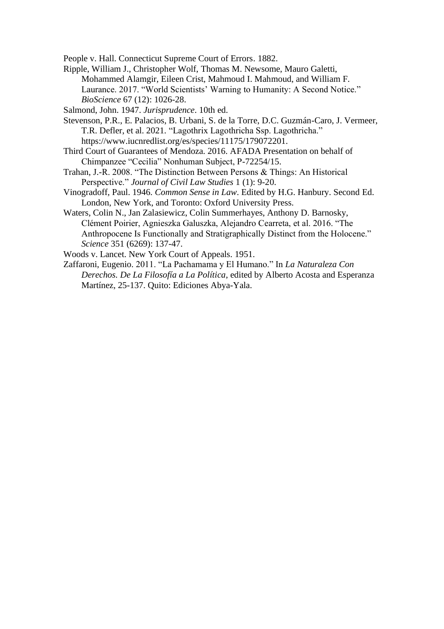People v. Hall. Connecticut Supreme Court of Errors. 1882.

- Ripple, William J., Christopher Wolf, Thomas M. Newsome, Mauro Galetti, Mohammed Alamgir, Eileen Crist, Mahmoud I. Mahmoud, and William F. Laurance. 2017. "World Scientists' Warning to Humanity: A Second Notice." *BioScience* 67 (12): 1026-28.
- Salmond, John. 1947. *Jurisprudence*. 10th ed.
- Stevenson, P.R., E. Palacios, B. Urbani, S. de la Torre, D.C. Guzmán-Caro, J. Vermeer, T.R. Defler, et al. 2021. "Lagothrix Lagothricha Ssp. Lagothricha." https://www.iucnredlist.org/es/species/11175/179072201.
- Third Court of Guarantees of Mendoza. 2016. AFADA Presentation on behalf of Chimpanzee "Cecilia" Nonhuman Subject, P-72254/15.
- Trahan, J.-R. 2008. "The Distinction Between Persons & Things: An Historical Perspective." *Journal of Civil Law Studies* 1 (1): 9-20.
- Vinogradoff, Paul. 1946. *Common Sense in Law*. Edited by H.G. Hanbury. Second Ed. London, New York, and Toronto: Oxford University Press.
- Waters, Colin N., Jan Zalasiewicz, Colin Summerhayes, Anthony D. Barnosky, Clément Poirier, Agnieszka Galuszka, Alejandro Cearreta, et al. 2016. "The Anthropocene Is Functionally and Stratigraphically Distinct from the Holocene." *Science* 351 (6269): 137-47.
- Woods v. Lancet. New York Court of Appeals. 1951.
- Zaffaroni, Eugenio. 2011. "La Pachamama y El Humano." In *La Naturaleza Con Derechos. De La Filosofía a La Política*, edited by Alberto Acosta and Esperanza Martínez, 25-137. Quito: Ediciones Abya-Yala.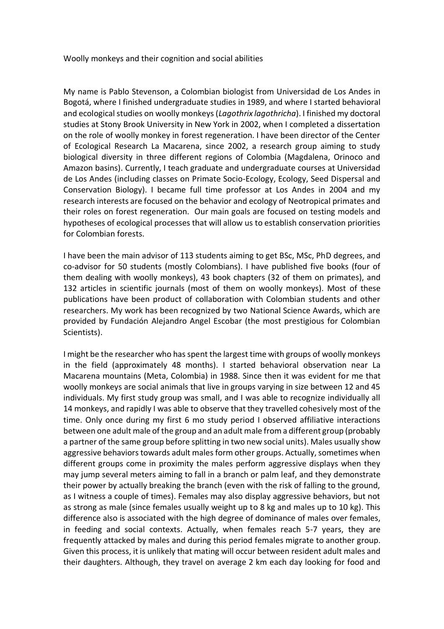Woolly monkeys and their cognition and social abilities

My name is Pablo Stevenson, a Colombian biologist from Universidad de Los Andes in Bogotá, where I finished undergraduate studies in 1989, and where I started behavioral and ecological studies on woolly monkeys (*Lagothrix lagothricha*). I finished my doctoral studies at Stony Brook University in New York in 2002, when I completed a dissertation on the role of woolly monkey in forest regeneration. I have been director of the Center of Ecological Research La Macarena, since 2002, a research group aiming to study biological diversity in three different regions of Colombia (Magdalena, Orinoco and Amazon basins). Currently, I teach graduate and undergraduate courses at Universidad de Los Andes (including classes on Primate Socio-Ecology, Ecology, Seed Dispersal and Conservation Biology). I became full time professor at Los Andes in 2004 and my research interests are focused on the behavior and ecology of Neotropical primates and their roles on forest regeneration. Our main goals are focused on testing models and hypotheses of ecological processes that will allow us to establish conservation priorities for Colombian forests.

I have been the main advisor of 113 students aiming to get BSc, MSc, PhD degrees, and co-advisor for 50 students (mostly Colombians). I have published five books (four of them dealing with woolly monkeys), 43 book chapters (32 of them on primates), and 132 articles in scientific journals (most of them on woolly monkeys). Most of these publications have been product of collaboration with Colombian students and other researchers. My work has been recognized by two National Science Awards, which are provided by Fundación Alejandro Angel Escobar (the most prestigious for Colombian Scientists).

I might be the researcher who has spent the largest time with groups of woolly monkeys in the field (approximately 48 months). I started behavioral observation near La Macarena mountains (Meta, Colombia) in 1988. Since then it was evident for me that woolly monkeys are social animals that live in groups varying in size between 12 and 45 individuals. My first study group was small, and I was able to recognize individually all 14 monkeys, and rapidly I was able to observe that they travelled cohesively most of the time. Only once during my first 6 mo study period I observed affiliative interactions between one adult male of the group and an adult male from a different group (probably a partner of the same group before splitting in two new social units). Males usually show aggressive behaviors towards adult males form other groups. Actually, sometimes when different groups come in proximity the males perform aggressive displays when they may jump several meters aiming to fall in a branch or palm leaf, and they demonstrate their power by actually breaking the branch (even with the risk of falling to the ground, as I witness a couple of times). Females may also display aggressive behaviors, but not as strong as male (since females usually weight up to 8 kg and males up to 10 kg). This difference also is associated with the high degree of dominance of males over females, in feeding and social contexts. Actually, when females reach 5-7 years, they are frequently attacked by males and during this period females migrate to another group. Given this process, it is unlikely that mating will occur between resident adult males and their daughters. Although, they travel on average 2 km each day looking for food and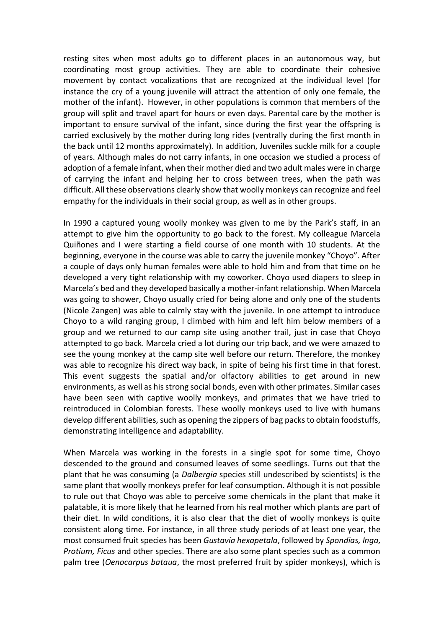resting sites when most adults go to different places in an autonomous way, but coordinating most group activities. They are able to coordinate their cohesive movement by contact vocalizations that are recognized at the individual level (for instance the cry of a young juvenile will attract the attention of only one female, the mother of the infant). However, in other populations is common that members of the group will split and travel apart for hours or even days. Parental care by the mother is important to ensure survival of the infant, since during the first year the offspring is carried exclusively by the mother during long rides (ventrally during the first month in the back until 12 months approximately). In addition, Juveniles suckle milk for a couple of years. Although males do not carry infants, in one occasion we studied a process of adoption of a female infant, when their mother died and two adult males were in charge of carrying the infant and helping her to cross between trees, when the path was difficult. All these observations clearly show that woolly monkeys can recognize and feel empathy for the individuals in their social group, as well as in other groups.

In 1990 a captured young woolly monkey was given to me by the Park's staff, in an attempt to give him the opportunity to go back to the forest. My colleague Marcela Quiñones and I were starting a field course of one month with 10 students. At the beginning, everyone in the course was able to carry the juvenile monkey "Choyo". After a couple of days only human females were able to hold him and from that time on he developed a very tight relationship with my coworker. Choyo used diapers to sleep in Marcela's bed and they developed basically a mother-infant relationship. When Marcela was going to shower, Choyo usually cried for being alone and only one of the students (Nicole Zangen) was able to calmly stay with the juvenile. In one attempt to introduce Choyo to a wild ranging group, I climbed with him and left him below members of a group and we returned to our camp site using another trail, just in case that Choyo attempted to go back. Marcela cried a lot during our trip back, and we were amazed to see the young monkey at the camp site well before our return. Therefore, the monkey was able to recognize his direct way back, in spite of being his first time in that forest. This event suggests the spatial and/or olfactory abilities to get around in new environments, as well as his strong social bonds, even with other primates. Similar cases have been seen with captive woolly monkeys, and primates that we have tried to reintroduced in Colombian forests. These woolly monkeys used to live with humans develop different abilities, such as opening the zippers of bag packs to obtain foodstuffs, demonstrating intelligence and adaptability.

When Marcela was working in the forests in a single spot for some time, Choyo descended to the ground and consumed leaves of some seedlings. Turns out that the plant that he was consuming (a *Dalbergia* species still undescribed by scientists) is the same plant that woolly monkeys prefer for leaf consumption. Although it is not possible to rule out that Choyo was able to perceive some chemicals in the plant that make it palatable, it is more likely that he learned from his real mother which plants are part of their diet. In wild conditions, it is also clear that the diet of woolly monkeys is quite consistent along time. For instance, in all three study periods of at least one year, the most consumed fruit species has been *Gustavia hexapetala*, followed by *Spondias, Inga, Protium, Ficus* and other species. There are also some plant species such as a common palm tree (*Oenocarpus bataua*, the most preferred fruit by spider monkeys), which is